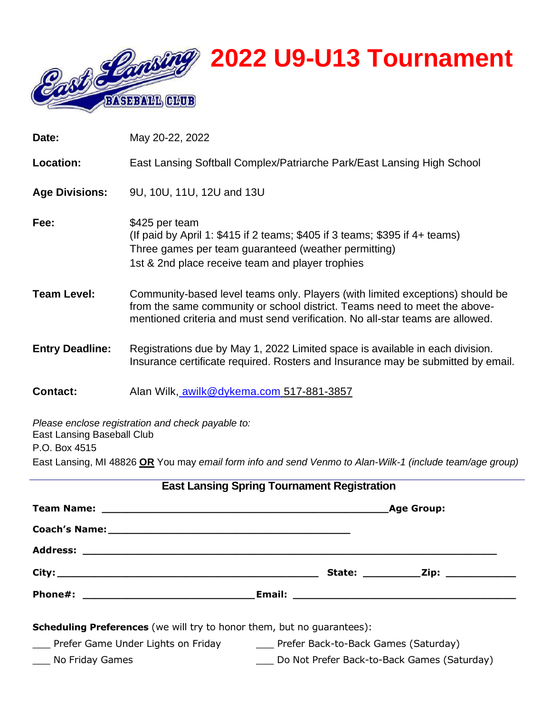

| Date:                                       | May 20-22, 2022                                                                                                                                                                                                                             |
|---------------------------------------------|---------------------------------------------------------------------------------------------------------------------------------------------------------------------------------------------------------------------------------------------|
| Location:                                   | East Lansing Softball Complex/Patriarche Park/East Lansing High School                                                                                                                                                                      |
| <b>Age Divisions:</b>                       | 9U, 10U, 11U, 12U and 13U                                                                                                                                                                                                                   |
| Fee:                                        | \$425 per team<br>(If paid by April 1: $$415$ if 2 teams; $$405$ if 3 teams; $$395$ if 4+ teams)<br>Three games per team guaranteed (weather permitting)<br>1st & 2nd place receive team and player trophies                                |
| <b>Team Level:</b>                          | Community-based level teams only. Players (with limited exceptions) should be<br>from the same community or school district. Teams need to meet the above-<br>mentioned criteria and must send verification. No all-star teams are allowed. |
| <b>Entry Deadline:</b>                      | Registrations due by May 1, 2022 Limited space is available in each division.<br>Insurance certificate required. Rosters and Insurance may be submitted by email.                                                                           |
| <b>Contact:</b>                             | Alan Wilk, awilk@dykema.com 517-881-3857                                                                                                                                                                                                    |
| East Lansing Baseball Club<br>P.O. Box 4515 | Please enclose registration and check payable to:                                                                                                                                                                                           |
|                                             | East Lansing, MI 48826 OR You may email form info and send Venmo to Alan-Wilk-1 (include team/age group)                                                                                                                                    |

|                                                                               | <b>East Lansing Spring Tournament Registration</b>                      |  |
|-------------------------------------------------------------------------------|-------------------------------------------------------------------------|--|
|                                                                               |                                                                         |  |
|                                                                               |                                                                         |  |
|                                                                               |                                                                         |  |
|                                                                               |                                                                         |  |
|                                                                               |                                                                         |  |
| <b>Scheduling Preferences</b> (we will try to honor them, but no quarantees): |                                                                         |  |
|                                                                               | Prefer Game Under Lights on Friday Frefer Back-to-Back Games (Saturday) |  |
| ____ No Friday Games                                                          | Do Not Prefer Back-to-Back Games (Saturday)                             |  |